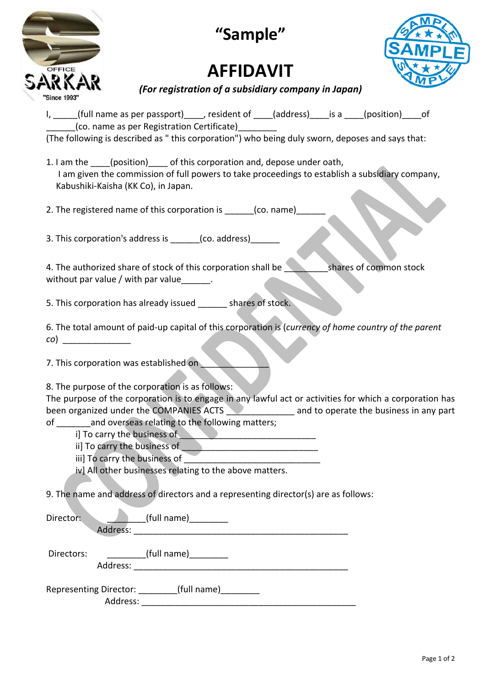| OFFICE       |
|--------------|
| RKA<br>₹     |
| "Since 1993" |

**"Sample"**

## **AFFIDAVIT**



*(For registration of a subsidiary company in Japan)* 

|            | I, ____(full name as per passport)____, resident of ____(address)____is a ____(position)____of<br>(co. name as per Registration Certificate)                                                                                                                                                                                                                                                                                                                                                                                                                                                                                      |                                 |  |                        |  |
|------------|-----------------------------------------------------------------------------------------------------------------------------------------------------------------------------------------------------------------------------------------------------------------------------------------------------------------------------------------------------------------------------------------------------------------------------------------------------------------------------------------------------------------------------------------------------------------------------------------------------------------------------------|---------------------------------|--|------------------------|--|
|            | (The following is described as "this corporation") who being duly sworn, deposes and says that:                                                                                                                                                                                                                                                                                                                                                                                                                                                                                                                                   |                                 |  |                        |  |
|            | 1. I am the ____(position) _____ of this corporation and, depose under oath,<br>I am given the commission of full powers to take proceedings to establish a subsidiary company,<br>Kabushiki-Kaisha (KK Co), in Japan.                                                                                                                                                                                                                                                                                                                                                                                                            |                                 |  |                        |  |
|            | 2. The registered name of this corporation is ______(co. name)_                                                                                                                                                                                                                                                                                                                                                                                                                                                                                                                                                                   |                                 |  |                        |  |
|            | 3. This corporation's address is ______(co. address)_______                                                                                                                                                                                                                                                                                                                                                                                                                                                                                                                                                                       |                                 |  |                        |  |
|            | 4. The authorized share of stock of this corporation shall be<br>without par value / with par value______.                                                                                                                                                                                                                                                                                                                                                                                                                                                                                                                        |                                 |  | shares of common stock |  |
|            | 5. This corporation has already issued ______ shares of stock.                                                                                                                                                                                                                                                                                                                                                                                                                                                                                                                                                                    |                                 |  |                        |  |
|            | 6. The total amount of paid-up capital of this corporation is (currency of home country of the parent<br>$\mathcal{L}(\mathcal{O})$                                                                                                                                                                                                                                                                                                                                                                                                                                                                                               |                                 |  |                        |  |
|            | 7. This corporation was established on                                                                                                                                                                                                                                                                                                                                                                                                                                                                                                                                                                                            |                                 |  |                        |  |
|            | 8. The purpose of the corporation is as follows:<br>The purpose of the corporation is to engage in any lawful act or activities for which a corporation has<br>been organized under the COMPANIES ACTS <b>No. 2020</b> and to operate the business in any part<br>of _________ and overseas relating to the following matters;<br>i] To carry the business of <b>All Contract Contract Contract Contract Contract Contract Contract Contract Contract Contract Contract Contract Contract Contract Contract Contract Contract Contract Contract Contract Contract </b><br>iv] All other businesses relating to the above matters. |                                 |  |                        |  |
|            | 9. The name and address of directors and a representing director(s) are as follows:                                                                                                                                                                                                                                                                                                                                                                                                                                                                                                                                               |                                 |  |                        |  |
| Director:  |                                                                                                                                                                                                                                                                                                                                                                                                                                                                                                                                                                                                                                   | (tull name)                     |  |                        |  |
| Directors: |                                                                                                                                                                                                                                                                                                                                                                                                                                                                                                                                                                                                                                   | __________(full name)__________ |  |                        |  |
|            | Representing Director: ________(full name)_________                                                                                                                                                                                                                                                                                                                                                                                                                                                                                                                                                                               |                                 |  |                        |  |

Address: \_\_\_\_\_\_\_\_\_\_\_\_\_\_\_\_\_\_\_\_\_\_\_\_\_\_\_\_\_\_\_\_\_\_\_\_\_\_\_\_\_\_\_\_